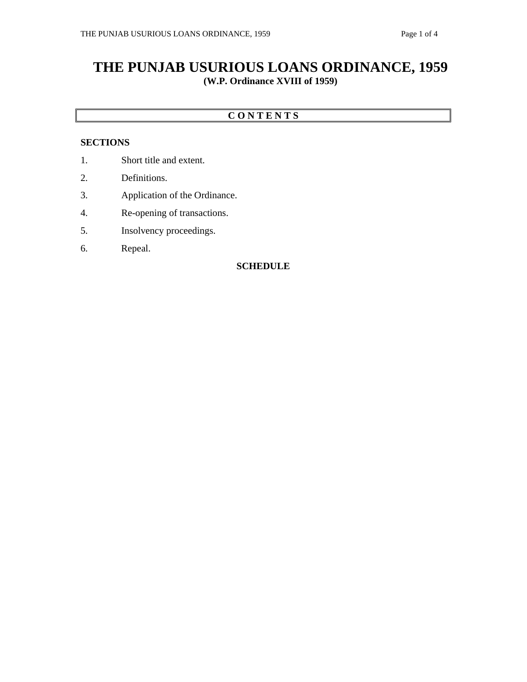# **THE PUNJAB USURIOUS LOANS ORDINANCE, 1959 (W.P. Ordinance XVIII of 1959)**

### **C O N T E N T S**

### **SECTIONS**

- 1. Short title and extent.
- 2. Definitions.
- 3. Application of the Ordinance.
- 4. Re-opening of transactions.
- 5. Insolvency proceedings.
- 6. Repeal.

#### **SCHEDULE**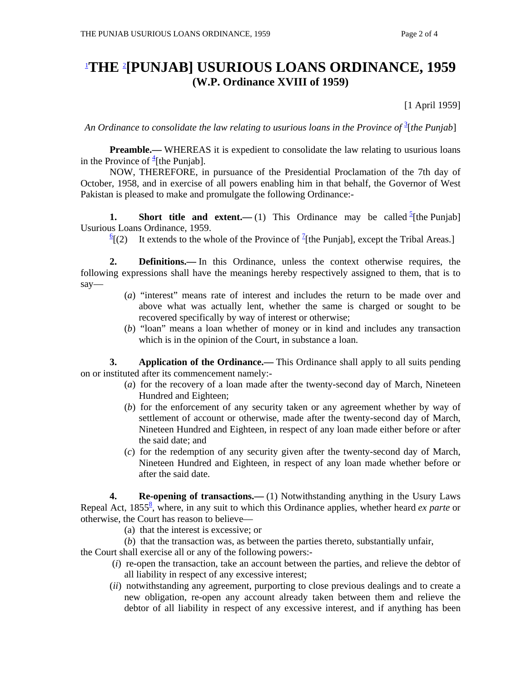# 1 **THE** <sup>2</sup> **[PUNJAB] USURIOUS LOANS ORDINANCE, 1959 (W.P. Ordinance XVIII of 1959)**

[1 April 1959]

An Ordinance to consolidate the law relating to usurious loans in the Province of <sup>3</sup>[the Punjab]

**Preamble.**— WHEREAS it is expedient to consolidate the law relating to usurious loans in the Province of  $\frac{4}{1}$ [the Punjab].

 NOW, THEREFORE, in pursuance of the Presidential Proclamation of the 7th day of October, 1958, and in exercise of all powers enabling him in that behalf, the Governor of West Pakistan is pleased to make and promulgate the following Ordinance:-

**1.** Short title and extent.—(1) This Ordinance may be called  $\frac{5}{2}$ [the Punjab] Usurious Loans Ordinance, 1959.

 $\frac{6}{2}$ [(2) [(2) It extends to the whole of the Province of  $\frac{1}{2}$ [the Punjab], except the Tribal Areas.]

 **2. Definitions.—** In this Ordinance, unless the context otherwise requires, the following expressions shall have the meanings hereby respectively assigned to them, that is to say—

- (*a*) "interest" means rate of interest and includes the return to be made over and above what was actually lent, whether the same is charged or sought to be recovered specifically by way of interest or otherwise;
- (*b*) "loan" means a loan whether of money or in kind and includes any transaction which is in the opinion of the Court, in substance a loan.

**3.** Application of the Ordinance.— This Ordinance shall apply to all suits pending on or instituted after its commencement namely:-

- (*a*) for the recovery of a loan made after the twenty-second day of March, Nineteen Hundred and Eighteen;
- (*b*) for the enforcement of any security taken or any agreement whether by way of settlement of account or otherwise, made after the twenty-second day of March, Nineteen Hundred and Eighteen, in respect of any loan made either before or after the said date; and
- (*c*) for the redemption of any security given after the twenty-second day of March, Nineteen Hundred and Eighteen, in respect of any loan made whether before or after the said date.

**4.** Re-opening of transactions.—(1) Notwithstanding anything in the Usury Laws Repeal Act, 1855<sup>8</sup>, where, in any suit to which this Ordinance applies, whether heard *ex parte* or otherwise, the Court has reason to believe—

(a) that the interest is excessive; or

(*b*) that the transaction was, as between the parties thereto, substantially unfair,

the Court shall exercise all or any of the following powers:-

- (*i*) re-open the transaction, take an account between the parties, and relieve the debtor of all liability in respect of any excessive interest;
- (*ii*) notwithstanding any agreement, purporting to close previous dealings and to create a new obligation, re-open any account already taken between them and relieve the debtor of all liability in respect of any excessive interest, and if anything has been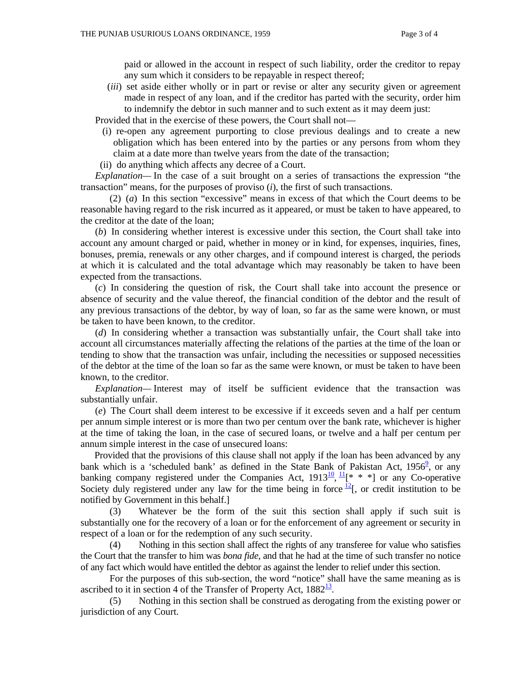paid or allowed in the account in respect of such liability, order the creditor to repay any sum which it considers to be repayable in respect thereof;

 (*iii*) set aside either wholly or in part or revise or alter any security given or agreement made in respect of any loan, and if the creditor has parted with the security, order him to indemnify the debtor in such manner and to such extent as it may deem just:

Provided that in the exercise of these powers, the Court shall not—

- (i) re-open any agreement purporting to close previous dealings and to create a new obligation which has been entered into by the parties or any persons from whom they claim at a date more than twelve years from the date of the transaction;
- (ii) do anything which affects any decree of a Court.

 *Explanation—* In the case of a suit brought on a series of transactions the expression "the transaction" means, for the purposes of proviso (*i*), the first of such transactions.

(2) (*a*) In this section "excessive" means in excess of that which the Court deems to be reasonable having regard to the risk incurred as it appeared, or must be taken to have appeared, to the creditor at the date of the loan;

 (*b*) In considering whether interest is excessive under this section, the Court shall take into account any amount charged or paid, whether in money or in kind, for expenses, inquiries, fines, bonuses, premia, renewals or any other charges, and if compound interest is charged, the periods at which it is calculated and the total advantage which may reasonably be taken to have been expected from the transactions.

 (*c*) In considering the question of risk, the Court shall take into account the presence or absence of security and the value thereof, the financial condition of the debtor and the result of any previous transactions of the debtor, by way of loan, so far as the same were known, or must be taken to have been known, to the creditor.

 (*d*) In considering whether a transaction was substantially unfair, the Court shall take into account all circumstances materially affecting the relations of the parties at the time of the loan or tending to show that the transaction was unfair, including the necessities or supposed necessities of the debtor at the time of the loan so far as the same were known, or must be taken to have been known, to the creditor.

 *Explanation—* Interest may of itself be sufficient evidence that the transaction was substantially unfair.

 (*e*) The Court shall deem interest to be excessive if it exceeds seven and a half per centum per annum simple interest or is more than two per centum over the bank rate, whichever is higher at the time of taking the loan, in the case of secured loans, or twelve and a half per centum per annum simple interest in the case of unsecured loans:

 Provided that the provisions of this clause shall not apply if the loan has been advanced by any bank which is a 'scheduled bank' as defined in the State Bank of Pakistan Act,  $1956^{\circ}$ , or any banking company registered under the Companies Act,  $1913\frac{10}{11}$ ,  $* * *$ ] or any Co-operative Society duly registered under any law for the time being in force  $\frac{12}{5}$ , or credit institution to be notified by Government in this behalf.]

 (3) Whatever be the form of the suit this section shall apply if such suit is substantially one for the recovery of a loan or for the enforcement of any agreement or security in respect of a loan or for the redemption of any such security.

 (4) Nothing in this section shall affect the rights of any transferee for value who satisfies the Court that the transfer to him was *bona fide*, and that he had at the time of such transfer no notice of any fact which would have entitled the debtor as against the lender to relief under this section.

 For the purposes of this sub-section, the word "notice" shall have the same meaning as is ascribed to it in section 4 of the Transfer of Property Act,  $1882^{\frac{13}{2}}$ .

 (5) Nothing in this section shall be construed as derogating from the existing power or jurisdiction of any Court.